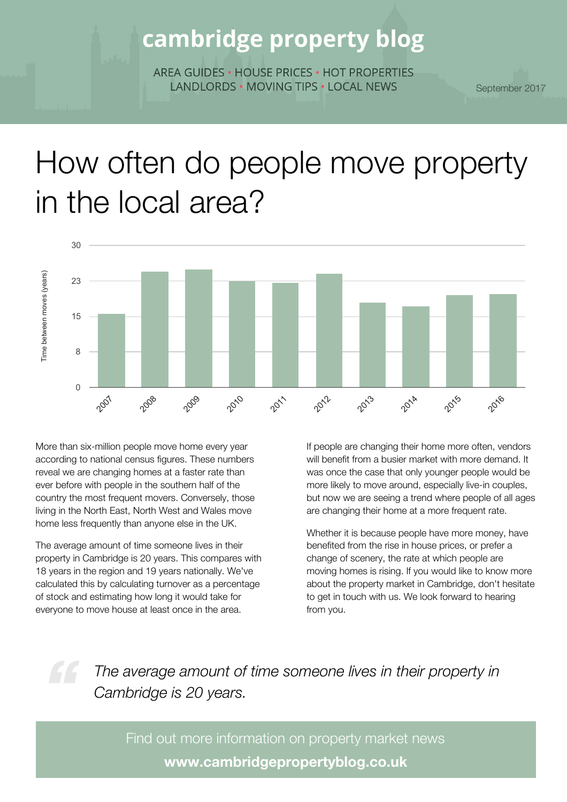## cambridge property blog

ARFA GUIDES . HOUSE PRICES . HOT PROPERTIES LANDLORDS . MOVING TIPS . LOCAL NEWS

September 2017

# How often do people move property in the local area?



More than six-million people move home every year according to national census figures. These numbers reveal we are changing homes at a faster rate than ever before with people in the southern half of the country the most frequent movers. Conversely, those living in the North East, North West and Wales move home less frequently than anyone else in the UK.

The average amount of time someone lives in their property in Cambridge is 20 years. This compares with 18 years in the region and 19 years nationally. We've calculated this by calculating turnover as a percentage of stock and estimating how long it would take for everyone to move house at least once in the area.

If people are changing their home more often, vendors will benefit from a busier market with more demand. It was once the case that only younger people would be more likely to move around, especially live-in couples, but now we are seeing a trend where people of all ages are changing their home at a more frequent rate.

Whether it is because people have more money, have benefited from the rise in house prices, or prefer a change of scenery, the rate at which people are moving homes is rising. If you would like to know more about the property market in Cambridge, don't hesitate to get in touch with us. We look forward to hearing from you.

*The average amount of time someone lives in their property in Cambridge is 20 years.*

Find out more information on property market news **www.cambridgepropertyblog.co.uk**